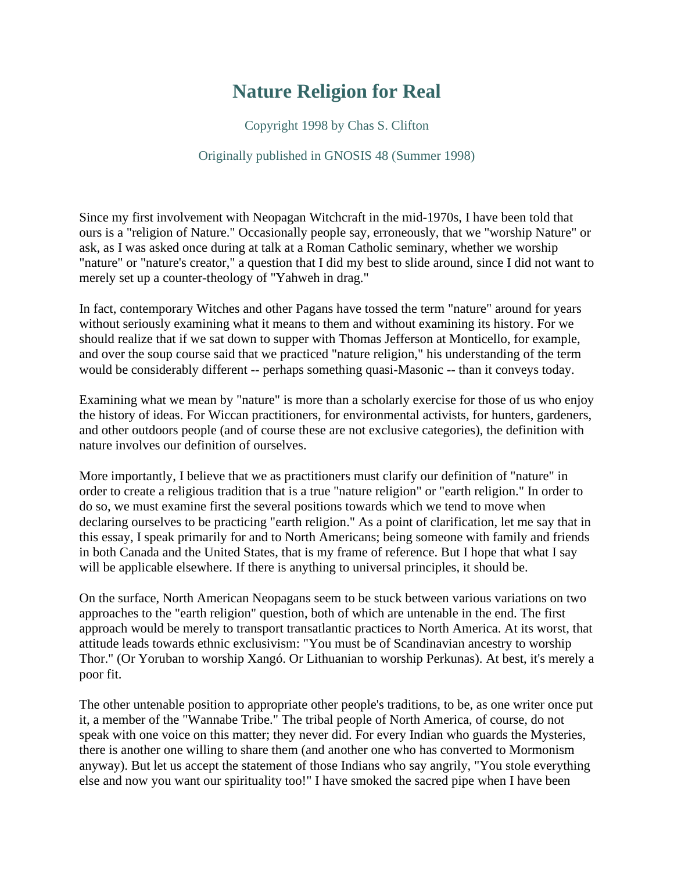## **Nature Religion for Real**

Copyright 1998 by Chas S. Clifton

## Originally published in GNOSIS 48 (Summer 1998)

Since my first involvement with Neopagan Witchcraft in the mid-1970s, I have been told that ours is a "religion of Nature." Occasionally people say, erroneously, that we "worship Nature" or ask, as I was asked once during at talk at a Roman Catholic seminary, whether we worship "nature" or "nature's creator," a question that I did my best to slide around, since I did not want to merely set up a counter-theology of "Yahweh in drag."

In fact, contemporary Witches and other Pagans have tossed the term "nature" around for years without seriously examining what it means to them and without examining its history. For we should realize that if we sat down to supper with Thomas Jefferson at Monticello, for example, and over the soup course said that we practiced "nature religion," his understanding of the term would be considerably different -- perhaps something quasi-Masonic -- than it conveys today.

Examining what we mean by "nature" is more than a scholarly exercise for those of us who enjoy the history of ideas. For Wiccan practitioners, for environmental activists, for hunters, gardeners, and other outdoors people (and of course these are not exclusive categories), the definition with nature involves our definition of ourselves.

More importantly, I believe that we as practitioners must clarify our definition of "nature" in order to create a religious tradition that is a true "nature religion" or "earth religion." In order to do so, we must examine first the several positions towards which we tend to move when declaring ourselves to be practicing "earth religion." As a point of clarification, let me say that in this essay, I speak primarily for and to North Americans; being someone with family and friends in both Canada and the United States, that is my frame of reference. But I hope that what I say will be applicable elsewhere. If there is anything to universal principles, it should be.

On the surface, North American Neopagans seem to be stuck between various variations on two approaches to the "earth religion" question, both of which are untenable in the end. The first approach would be merely to transport transatlantic practices to North America. At its worst, that attitude leads towards ethnic exclusivism: "You must be of Scandinavian ancestry to worship Thor." (Or Yoruban to worship Xangó. Or Lithuanian to worship Perkunas). At best, it's merely a poor fit.

The other untenable position to appropriate other people's traditions, to be, as one writer once put it, a member of the "Wannabe Tribe." The tribal people of North America, of course, do not speak with one voice on this matter; they never did. For every Indian who guards the Mysteries, there is another one willing to share them (and another one who has converted to Mormonism anyway). But let us accept the statement of those Indians who say angrily, "You stole everything else and now you want our spirituality too!" I have smoked the sacred pipe when I have been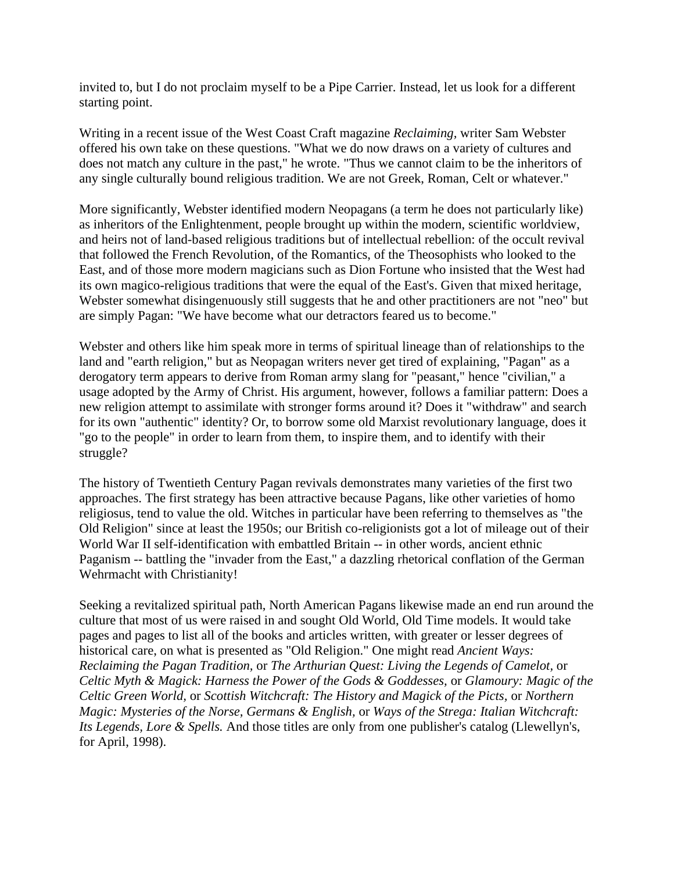invited to, but I do not proclaim myself to be a Pipe Carrier. Instead, let us look for a different starting point.

Writing in a recent issue of the West Coast Craft magazine *Reclaiming,* writer Sam Webster offered his own take on these questions. "What we do now draws on a variety of cultures and does not match any culture in the past," he wrote. "Thus we cannot claim to be the inheritors of any single culturally bound religious tradition. We are not Greek, Roman, Celt or whatever."

More significantly, Webster identified modern Neopagans (a term he does not particularly like) as inheritors of the Enlightenment, people brought up within the modern, scientific worldview, and heirs not of land-based religious traditions but of intellectual rebellion: of the occult revival that followed the French Revolution, of the Romantics, of the Theosophists who looked to the East, and of those more modern magicians such as Dion Fortune who insisted that the West had its own magico-religious traditions that were the equal of the East's. Given that mixed heritage, Webster somewhat disingenuously still suggests that he and other practitioners are not "neo" but are simply Pagan: "We have become what our detractors feared us to become."

Webster and others like him speak more in terms of spiritual lineage than of relationships to the land and "earth religion," but as Neopagan writers never get tired of explaining, "Pagan" as a derogatory term appears to derive from Roman army slang for "peasant," hence "civilian," a usage adopted by the Army of Christ. His argument, however, follows a familiar pattern: Does a new religion attempt to assimilate with stronger forms around it? Does it "withdraw" and search for its own "authentic" identity? Or, to borrow some old Marxist revolutionary language, does it "go to the people" in order to learn from them, to inspire them, and to identify with their struggle?

The history of Twentieth Century Pagan revivals demonstrates many varieties of the first two approaches. The first strategy has been attractive because Pagans, like other varieties of homo religiosus, tend to value the old. Witches in particular have been referring to themselves as "the Old Religion" since at least the 1950s; our British co-religionists got a lot of mileage out of their World War II self-identification with embattled Britain -- in other words, ancient ethnic Paganism -- battling the "invader from the East," a dazzling rhetorical conflation of the German Wehrmacht with Christianity!

Seeking a revitalized spiritual path, North American Pagans likewise made an end run around the culture that most of us were raised in and sought Old World, Old Time models. It would take pages and pages to list all of the books and articles written, with greater or lesser degrees of historical care, on what is presented as "Old Religion." One might read *Ancient Ways: Reclaiming the Pagan Tradition,* or *The Arthurian Quest: Living the Legends of Camelot,* or *Celtic Myth & Magick: Harness the Power of the Gods & Goddesses,* or *Glamoury: Magic of the Celtic Green World,* or *Scottish Witchcraft: The History and Magick of the Picts,* or *Northern Magic: Mysteries of the Norse, Germans & English,* or *Ways of the Strega: Italian Witchcraft: Its Legends, Lore & Spells.* And those titles are only from one publisher's catalog (Llewellyn's, for April, 1998).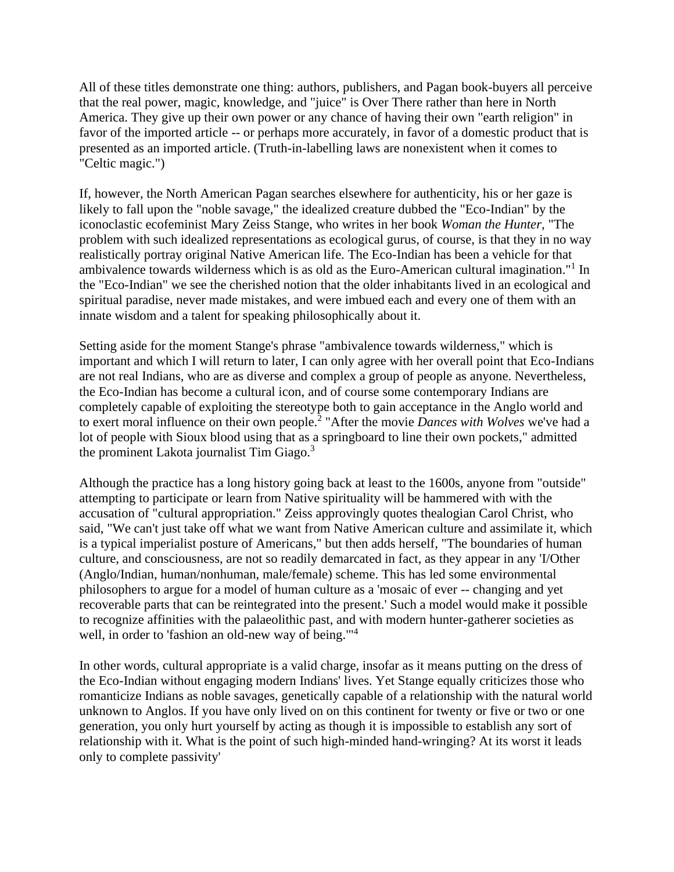All of these titles demonstrate one thing: authors, publishers, and Pagan book-buyers all perceive that the real power, magic, knowledge, and "juice" is Over There rather than here in North America. They give up their own power or any chance of having their own "earth religion" in favor of the imported article -- or perhaps more accurately, in favor of a domestic product that is presented as an imported article. (Truth-in-labelling laws are nonexistent when it comes to "Celtic magic.")

If, however, the North American Pagan searches elsewhere for authenticity, his or her gaze is likely to fall upon the "noble savage," the idealized creature dubbed the "Eco-Indian" by the iconoclastic ecofeminist Mary Zeiss Stange, who writes in her book *Woman the Hunter,* "The problem with such idealized representations as ecological gurus, of course, is that they in no way realistically portray original Native American life. The Eco-Indian has been a vehicle for that ambivalence towards wilderness which is as old as the Euro-American cultural imagination."<sup>1</sup> In the "Eco-Indian" we see the cherished notion that the older inhabitants lived in an ecological and spiritual paradise, never made mistakes, and were imbued each and every one of them with an innate wisdom and a talent for speaking philosophically about it.

Setting aside for the moment Stange's phrase "ambivalence towards wilderness," which is important and which I will return to later, I can only agree with her overall point that Eco-Indians are not real Indians, who are as diverse and complex a group of people as anyone. Nevertheless, the Eco-Indian has become a cultural icon, and of course some contemporary Indians are completely capable of exploiting the stereotype both to gain acceptance in the Anglo world and to exert moral influence on their own people.<sup>2</sup> "After the movie *Dances with Wolves* we've had a lot of people with Sioux blood using that as a springboard to line their own pockets," admitted the prominent Lakota journalist Tim Giago.<sup>3</sup>

Although the practice has a long history going back at least to the 1600s, anyone from "outside" attempting to participate or learn from Native spirituality will be hammered with with the accusation of "cultural appropriation." Zeiss approvingly quotes thealogian Carol Christ, who said, "We can't just take off what we want from Native American culture and assimilate it, which is a typical imperialist posture of Americans," but then adds herself, "The boundaries of human culture, and consciousness, are not so readily demarcated in fact, as they appear in any 'I/Other (Anglo/Indian, human/nonhuman, male/female) scheme. This has led some environmental philosophers to argue for a model of human culture as a 'mosaic of ever -- changing and yet recoverable parts that can be reintegrated into the present.' Such a model would make it possible to recognize affinities with the palaeolithic past, and with modern hunter-gatherer societies as well, in order to 'fashion an old-new way of being."<sup>4</sup>

In other words, cultural appropriate is a valid charge, insofar as it means putting on the dress of the Eco-Indian without engaging modern Indians' lives. Yet Stange equally criticizes those who romanticize Indians as noble savages, genetically capable of a relationship with the natural world unknown to Anglos. If you have only lived on on this continent for twenty or five or two or one generation, you only hurt yourself by acting as though it is impossible to establish any sort of relationship with it. What is the point of such high-minded hand-wringing? At its worst it leads only to complete passivity'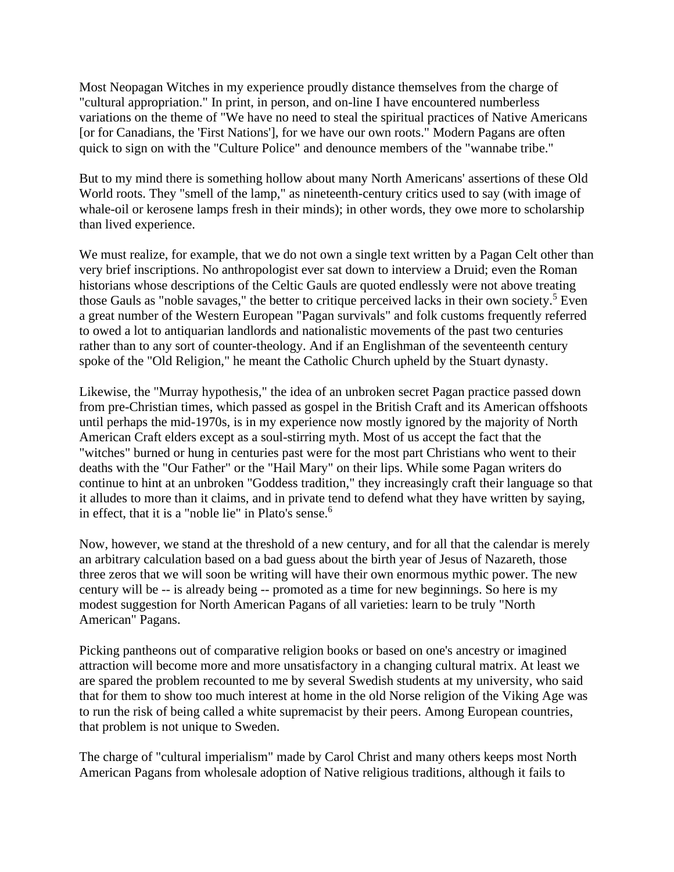Most Neopagan Witches in my experience proudly distance themselves from the charge of "cultural appropriation." In print, in person, and on-line I have encountered numberless variations on the theme of "We have no need to steal the spiritual practices of Native Americans [or for Canadians, the 'First Nations'], for we have our own roots." Modern Pagans are often quick to sign on with the "Culture Police" and denounce members of the "wannabe tribe."

But to my mind there is something hollow about many North Americans' assertions of these Old World roots. They "smell of the lamp," as nineteenth-century critics used to say (with image of whale-oil or kerosene lamps fresh in their minds); in other words, they owe more to scholarship than lived experience.

We must realize, for example, that we do not own a single text written by a Pagan Celt other than very brief inscriptions. No anthropologist ever sat down to interview a Druid; even the Roman historians whose descriptions of the Celtic Gauls are quoted endlessly were not above treating those Gauls as "noble savages," the better to critique perceived lacks in their own society.<sup>5</sup> Even a great number of the Western European "Pagan survivals" and folk customs frequently referred to owed a lot to antiquarian landlords and nationalistic movements of the past two centuries rather than to any sort of counter-theology. And if an Englishman of the seventeenth century spoke of the "Old Religion," he meant the Catholic Church upheld by the Stuart dynasty.

Likewise, the "Murray hypothesis," the idea of an unbroken secret Pagan practice passed down from pre-Christian times, which passed as gospel in the British Craft and its American offshoots until perhaps the mid-1970s, is in my experience now mostly ignored by the majority of North American Craft elders except as a soul-stirring myth. Most of us accept the fact that the "witches" burned or hung in centuries past were for the most part Christians who went to their deaths with the "Our Father" or the "Hail Mary" on their lips. While some Pagan writers do continue to hint at an unbroken "Goddess tradition," they increasingly craft their language so that it alludes to more than it claims, and in private tend to defend what they have written by saying, in effect, that it is a "noble lie" in Plato's sense.<sup>6</sup>

Now, however, we stand at the threshold of a new century, and for all that the calendar is merely an arbitrary calculation based on a bad guess about the birth year of Jesus of Nazareth, those three zeros that we will soon be writing will have their own enormous mythic power. The new century will be -- is already being -- promoted as a time for new beginnings. So here is my modest suggestion for North American Pagans of all varieties: learn to be truly "North American" Pagans.

Picking pantheons out of comparative religion books or based on one's ancestry or imagined attraction will become more and more unsatisfactory in a changing cultural matrix. At least we are spared the problem recounted to me by several Swedish students at my university, who said that for them to show too much interest at home in the old Norse religion of the Viking Age was to run the risk of being called a white supremacist by their peers. Among European countries, that problem is not unique to Sweden.

The charge of "cultural imperialism" made by Carol Christ and many others keeps most North American Pagans from wholesale adoption of Native religious traditions, although it fails to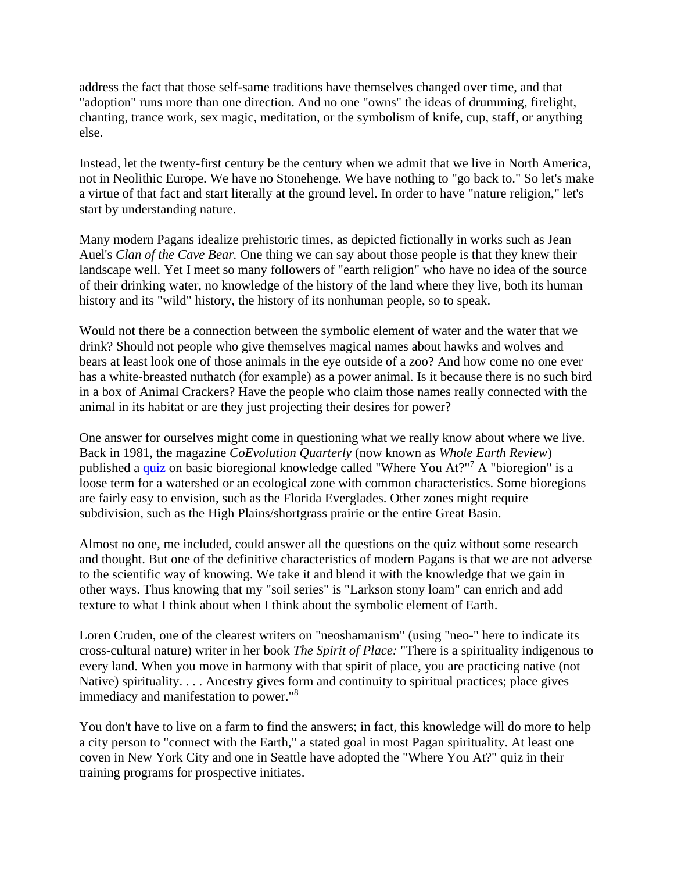address the fact that those self-same traditions have themselves changed over time, and that "adoption" runs more than one direction. And no one "owns" the ideas of drumming, firelight, chanting, trance work, sex magic, meditation, or the symbolism of knife, cup, staff, or anything else.

Instead, let the twenty-first century be the century when we admit that we live in North America, not in Neolithic Europe. We have no Stonehenge. We have nothing to "go back to." So let's make a virtue of that fact and start literally at the ground level. In order to have "nature religion," let's start by understanding nature.

Many modern Pagans idealize prehistoric times, as depicted fictionally in works such as Jean Auel's *Clan of the Cave Bear.* One thing we can say about those people is that they knew their landscape well. Yet I meet so many followers of "earth religion" who have no idea of the source of their drinking water, no knowledge of the history of the land where they live, both its human history and its "wild" history, the history of its nonhuman people, so to speak.

Would not there be a connection between the symbolic element of water and the water that we drink? Should not people who give themselves magical names about hawks and wolves and bears at least look one of those animals in the eye outside of a zoo? And how come no one ever has a white-breasted nuthatch (for example) as a power animal. Is it because there is no such bird in a box of Animal Crackers? Have the people who claim those names really connected with the animal in its habitat or are they just projecting their desires for power?

One answer for ourselves might come in questioning what we really know about where we live. Back in 1981, the magazine *CoEvolution Quarterly* (now known as *Whole Earth Review*) published a [quiz](http://proteuscoven.com/Touch.htm) on basic bioregional knowledge called "Where You At?"<sup>7</sup> A "bioregion" is a loose term for a watershed or an ecological zone with common characteristics. Some bioregions are fairly easy to envision, such as the Florida Everglades. Other zones might require subdivision, such as the High Plains/shortgrass prairie or the entire Great Basin.

Almost no one, me included, could answer all the questions on the quiz without some research and thought. But one of the definitive characteristics of modern Pagans is that we are not adverse to the scientific way of knowing. We take it and blend it with the knowledge that we gain in other ways. Thus knowing that my "soil series" is "Larkson stony loam" can enrich and add texture to what I think about when I think about the symbolic element of Earth.

Loren Cruden, one of the clearest writers on "neoshamanism" (using "neo-" here to indicate its cross-cultural nature) writer in her book *The Spirit of Place:* "There is a spirituality indigenous to every land. When you move in harmony with that spirit of place, you are practicing native (not Native) spirituality. . . . Ancestry gives form and continuity to spiritual practices; place gives immediacy and manifestation to power."<sup>8</sup>

You don't have to live on a farm to find the answers; in fact, this knowledge will do more to help a city person to "connect with the Earth," a stated goal in most Pagan spirituality. At least one coven in New York City and one in Seattle have adopted the "Where You At?" quiz in their training programs for prospective initiates.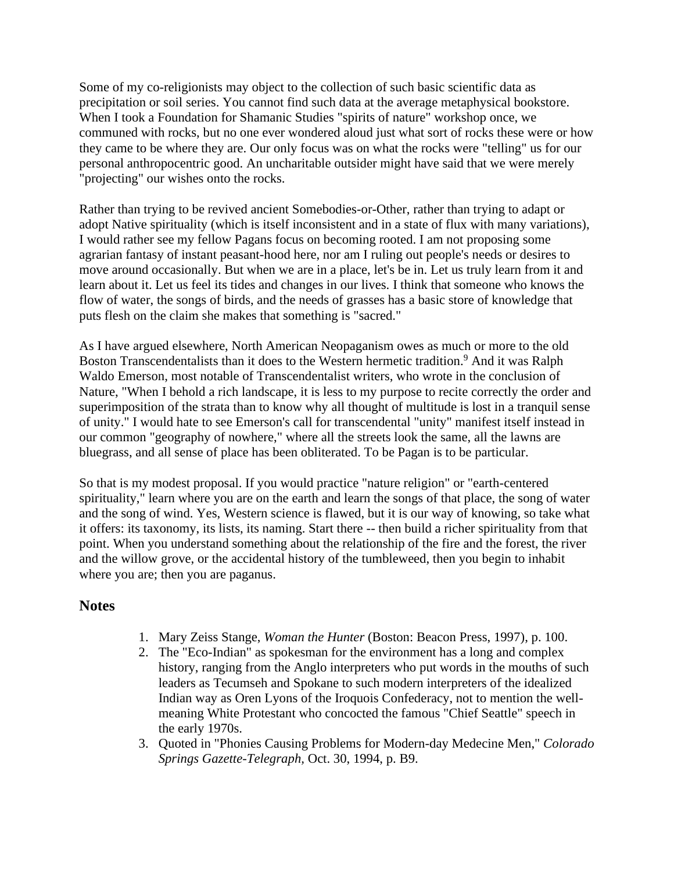Some of my co-religionists may object to the collection of such basic scientific data as precipitation or soil series. You cannot find such data at the average metaphysical bookstore. When I took a Foundation for Shamanic Studies "spirits of nature" workshop once, we communed with rocks, but no one ever wondered aloud just what sort of rocks these were or how they came to be where they are. Our only focus was on what the rocks were "telling" us for our personal anthropocentric good. An uncharitable outsider might have said that we were merely "projecting" our wishes onto the rocks.

Rather than trying to be revived ancient Somebodies-or-Other, rather than trying to adapt or adopt Native spirituality (which is itself inconsistent and in a state of flux with many variations), I would rather see my fellow Pagans focus on becoming rooted. I am not proposing some agrarian fantasy of instant peasant-hood here, nor am I ruling out people's needs or desires to move around occasionally. But when we are in a place, let's be in. Let us truly learn from it and learn about it. Let us feel its tides and changes in our lives. I think that someone who knows the flow of water, the songs of birds, and the needs of grasses has a basic store of knowledge that puts flesh on the claim she makes that something is "sacred."

As I have argued elsewhere, North American Neopaganism owes as much or more to the old Boston Transcendentalists than it does to the Western hermetic tradition.<sup>9</sup> And it was Ralph Waldo Emerson, most notable of Transcendentalist writers, who wrote in the conclusion of Nature, "When I behold a rich landscape, it is less to my purpose to recite correctly the order and superimposition of the strata than to know why all thought of multitude is lost in a tranquil sense of unity." I would hate to see Emerson's call for transcendental "unity" manifest itself instead in our common "geography of nowhere," where all the streets look the same, all the lawns are bluegrass, and all sense of place has been obliterated. To be Pagan is to be particular.

So that is my modest proposal. If you would practice "nature religion" or "earth-centered spirituality," learn where you are on the earth and learn the songs of that place, the song of water and the song of wind. Yes, Western science is flawed, but it is our way of knowing, so take what it offers: its taxonomy, its lists, its naming. Start there -- then build a richer spirituality from that point. When you understand something about the relationship of the fire and the forest, the river and the willow grove, or the accidental history of the tumbleweed, then you begin to inhabit where you are; then you are paganus.

## **Notes**

- 1. Mary Zeiss Stange, *Woman the Hunter* (Boston: Beacon Press, 1997), p. 100.
- 2. The "Eco-Indian" as spokesman for the environment has a long and complex history, ranging from the Anglo interpreters who put words in the mouths of such leaders as Tecumseh and Spokane to such modern interpreters of the idealized Indian way as Oren Lyons of the Iroquois Confederacy, not to mention the wellmeaning White Protestant who concocted the famous "Chief Seattle" speech in the early 1970s.
- 3. Quoted in "Phonies Causing Problems for Modern-day Medecine Men," *Colorado Springs Gazette-Telegraph,* Oct. 30, 1994, p. B9.